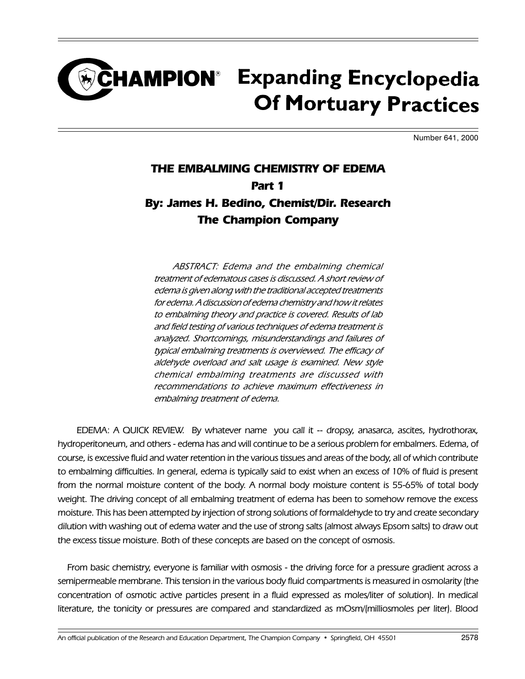#### **CHAMPION**<sup>®</sup> Expanding Encyclopedia **Of Mortuary Practices**

Number 641, 2000

#### THE EMBALMING CHEMISTRY OF EDEMA Part 1 By: James H. Bedino, Chemist/Dir. Research The Champion Company

ABSTRACT: Edema and the embalming chemical treatment of edematous cases is discussed. A short review of edema is given along with the traditional accepted treatments for edema. A discussion of edema chemistry and how it relates to embalming theory and practice is covered. Results of lab and field testing of various techniques of edema treatment is analyzed. Shortcomings, misunderstandings and failures of typical embalming treatments is overviewed. The efficacy of aldehyde overload and salt usage is examined. New style chemical embalming treatments are discussed with recommendations to achieve maximum effectiveness in embalming treatment of edema.

EDEMA: A QUICK REVIEW. By whatever name you call it -- dropsy, anasarca, ascites, hydrothorax, hydroperitoneum, and others - edema has and will continue to be a serious problem for embalmers. Edema, of course, is excessive fluid and water retention in the various tissues and areas of the body, all of which contribute to embalming difficulties. In general, edema is typically said to exist when an excess of 10% of fluid is present from the normal moisture content of the body. A normal body moisture content is 55-65% of total body weight. The driving concept of all embalming treatment of edema has been to somehow remove the excess moisture. This has been attempted by injection of strong solutions of formaldehyde to try and create secondary dilution with washing out of edema water and the use of strong salts (almost always Epsom salts) to draw out the excess tissue moisture. Both of these concepts are based on the concept of osmosis.

From basic chemistry, everyone is familiar with osmosis - the driving force for a pressure gradient across a semipermeable membrane. This tension in the various body fluid compartments is measured in osmolarity (the concentration of osmotic active particles present in a fluid expressed as moles/liter of solution). In medical literature, the tonicity or pressures are compared and standardized as mOsm/(milliosmoles per liter). Blood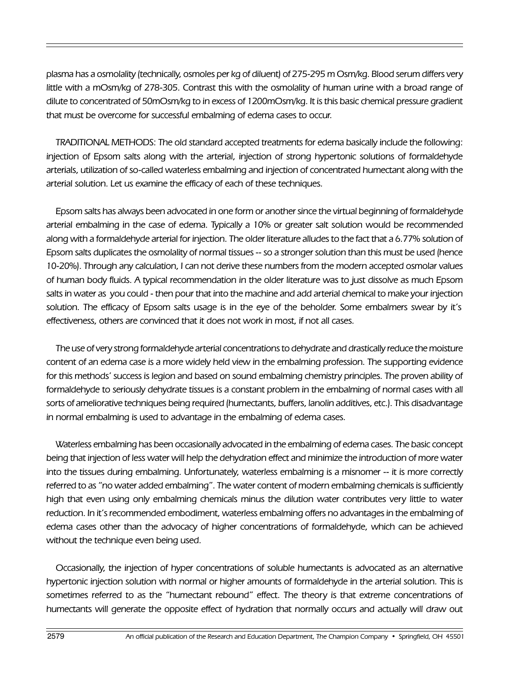plasma has a osmolality (technically, osmoles per kg of diluent) of 275-295 m Osm/kg. Blood serum differs very little with a mOsm/kg of 278-305. Contrast this with the osmolality of human urine with a broad range of dilute to concentrated of 50mOsm/kg to in excess of 1200mOsm/kg. It is this basic chemical pressure gradient that must be overcome for successful embalming of edema cases to occur.

TRADITIONAL METHODS: The old standard accepted treatments for edema basically include the following: injection of Epsom salts along with the arterial, injection of strong hypertonic solutions of formaldehyde arterials, utilization of so-called waterless embalming and injection of concentrated humectant along with the arterial solution. Let us examine the efficacy of each of these techniques.

Epsom salts has always been advocated in one form or another since the virtual beginning of formaldehyde arterial embalming in the case of edema. Typically a 10% or greater salt solution would be recommended along with a formaldehyde arterial for injection. The older literature alludes to the fact that a 6.77% solution of Epsom salts duplicates the osmolality of normal tissues -- so a stronger solution than this must be used (hence 10-20%). Through any calculation, I can not derive these numbers from the modern accepted osmolar values of human body fluids. A typical recommendation in the older literature was to just dissolve as much Epsom salts in water as you could - then pour that into the machine and add arterial chemical to make your injection solution. The efficacy of Epsom salts usage is in the eye of the beholder. Some embalmers swear by it's effectiveness, others are convinced that it does not work in most, if not all cases.

The use of very strong formaldehyde arterial concentrations to dehydrate and drastically reduce the moisture content of an edema case is a more widely held view in the embalming profession. The supporting evidence for this methods' success is legion and based on sound embalming chemistry principles. The proven ability of formaldehyde to seriously dehydrate tissues is a constant problem in the embalming of normal cases with all sorts of ameliorative techniques being required (humectants, buffers, lanolin additives, etc.). This disadvantage in normal embalming is used to advantage in the embalming of edema cases.

Waterless embalming has been occasionally advocated in the embalming of edema cases. The basic concept being that injection of less water will help the dehydration effect and minimize the introduction of more water into the tissues during embalming. Unfortunately, waterless embalming is a misnomer -- it is more correctly referred to as "no water added embalming". The water content of modern embalming chemicals is sufficiently high that even using only embalming chemicals minus the dilution water contributes very little to water reduction. In it's recommended embodiment, waterless embalming offers no advantages in the embalming of edema cases other than the advocacy of higher concentrations of formaldehyde, which can be achieved without the technique even being used.

Occasionally, the injection of hyper concentrations of soluble humectants is advocated as an alternative hypertonic injection solution with normal or higher amounts of formaldehyde in the arterial solution. This is sometimes referred to as the "humectant rebound" effect. The theory is that extreme concentrations of humectants will generate the opposite effect of hydration that normally occurs and actually will draw out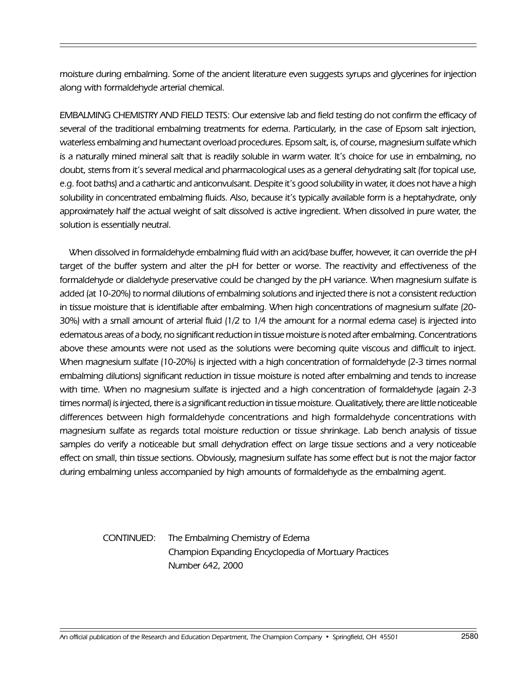moisture during embalming. Some of the ancient literature even suggests syrups and glycerines for injection along with formaldehyde arterial chemical.

EMBALMING CHEMISTRY AND FIELD TESTS: Our extensive lab and field testing do not confirm the efficacy of several of the traditional embalming treatments for edema. Particularly, in the case of Epsom salt injection, waterless embalming and humectant overload procedures. Epsom salt, is, of course, magnesium sulfate which is a naturally mined mineral salt that is readily soluble in warm water. It's choice for use in embalming, no doubt, stems from it's several medical and pharmacological uses as a general dehydrating salt (for topical use, e.g. foot baths) and a cathartic and anticonvulsant. Despite it's good solubility in water, it does not have a high solubility in concentrated embalming fluids. Also, because it's typically available form is a heptahydrate, only approximately half the actual weight of salt dissolved is active ingredient. When dissolved in pure water, the solution is essentially neutral.

When dissolved in formaldehyde embalming fluid with an acid/base buffer, however, it can override the pH target of the buffer system and alter the pH for better or worse. The reactivity and effectiveness of the formaldehyde or dialdehyde preservative could be changed by the pH variance. When magnesium sulfate is added (at 10-20%) to normal dilutions of embalming solutions and injected there is not a consistent reduction in tissue moisture that is identifiable after embalming. When high concentrations of magnesium sulfate (20- 30%) with a small amount of arterial fluid (1/2 to 1/4 the amount for a normal edema case) is injected into edematous areas of a body, no significant reduction in tissue moisture is noted after embalming. Concentrations above these amounts were not used as the solutions were becoming quite viscous and difficult to inject. When magnesium sulfate (10-20%) is injected with a high concentration of formaldehyde (2-3 times normal embalming dilutions) significant reduction in tissue moisture is noted after embalming and tends to increase with time. When no magnesium sulfate is injected and a high concentration of formaldehyde (again 2-3 times normal) is injected, there is a significant reduction in tissue moisture. Qualitatively, there are little noticeable differences between high formaldehyde concentrations and high formaldehyde concentrations with magnesium sulfate as regards total moisture reduction or tissue shrinkage. Lab bench analysis of tissue samples do verify a noticeable but small dehydration effect on large tissue sections and a very noticeable effect on small, thin tissue sections. Obviously, magnesium sulfate has some effect but is not the major factor during embalming unless accompanied by high amounts of formaldehyde as the embalming agent.

> CONTINUED: The Embalming Chemistry of Edema Champion Expanding Encyclopedia of Mortuary Practices Number 642, 2000